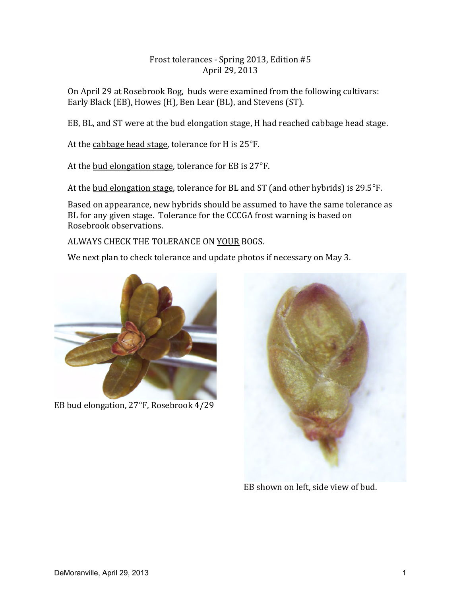## Frost tolerances - Spring 2013, Edition #5 April 29, 2013

On April 29 at Rosebrook Bog, buds were examined from the following cultivars: Early Black (EB), Howes (H), Ben Lear (BL), and Stevens (ST).

EB, BL, and ST were at the bud elongation stage, H had reached cabbage head stage.

At the cabbage head stage, tolerance for H is  $25^{\circ}$ F.

At the bud elongation stage, tolerance for EB is  $27^{\circ}$ F.

At the bud elongation stage, tolerance for BL and ST (and other hybrids) is  $29.5^{\circ}$ F.

Based on appearance, new hybrids should be assumed to have the same tolerance as BL for any given stage. Tolerance for the CCCGA frost warning is based on Rosebrook observations.

ALWAYS CHECK THE TOLERANCE ON YOUR BOGS.

We next plan to check tolerance and update photos if necessary on May 3.



EB bud elongation, 27°F, Rosebrook 4/29



EB shown on left, side view of bud.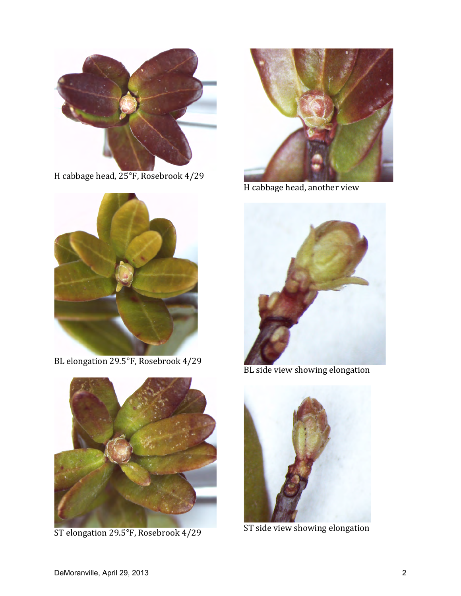

H cabbage head, 25°F, Rosebrook 4/29



BL elongation 29.5°F, Rosebrook 4/29



ST elongation 29.5°F, Rosebrook 4/29



H cabbage head, another view



BL side view showing elongation



ST side view showing elongation